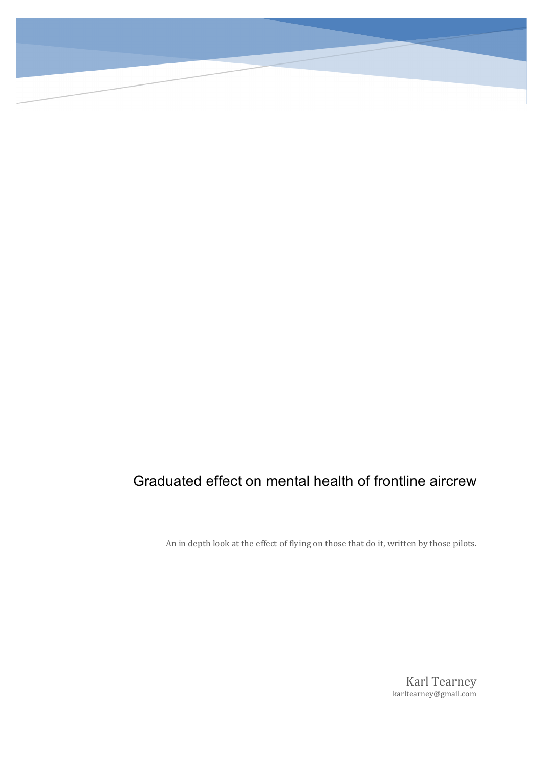# Graduated effect on mental health of frontline aircrew

An in depth look at the effect of flying on those that do it, written by those pilots.

**Karl Tearney** karltearney@gmail.com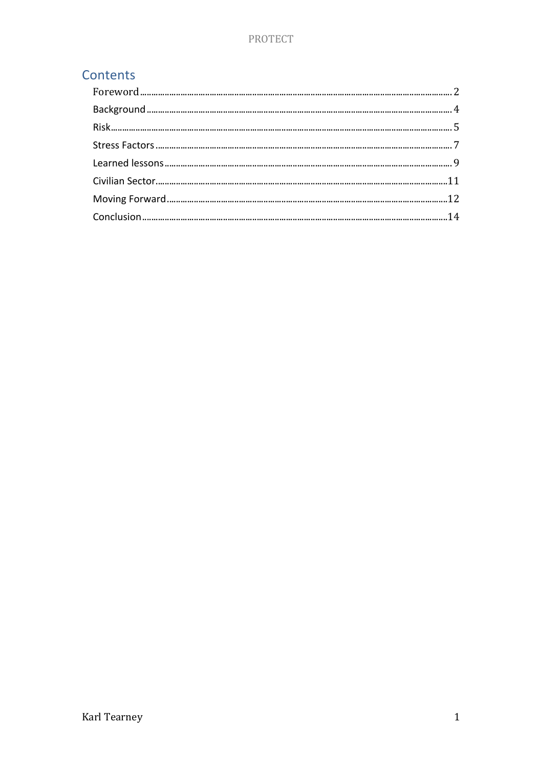# Contents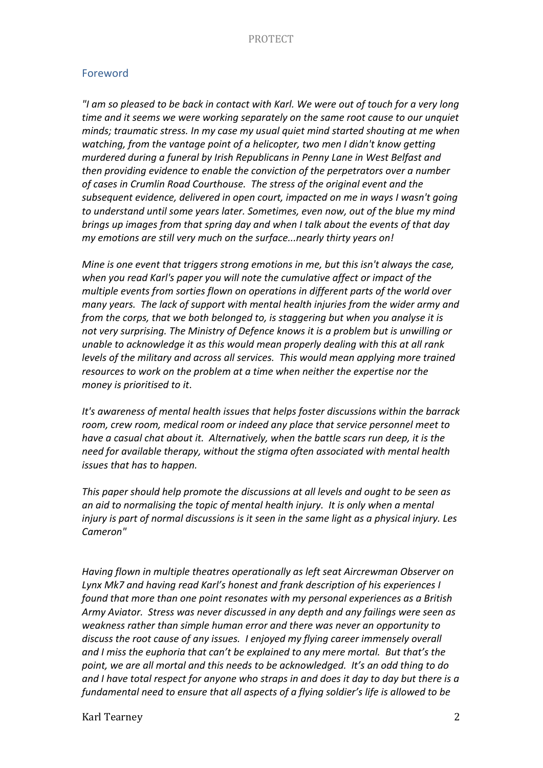### Foreword

*"I am so pleased to be back in contact with Karl. We were out of touch for a very long time and it seems we were working separately on the same root cause to our unquiet minds;* traumatic stress. In my case my usual quiet mind started shouting at me when *watching, from the vantage point of a helicopter, two men I didn't know getting murdered during a funeral by Irish Republicans in Penny Lane in West Belfast and then* providing evidence to enable the conviction of the perpetrators over a number of cases in Crumlin Road Courthouse. The stress of the original event and the subsequent evidence, delivered in open court, *impacted* on me in ways I wasn't going *to* understand until some years later. Sometimes, even now, out of the blue my mind *brings* up images from that spring day and when I talk about the events of that day *my* emotions are still very much on the surface...nearly thirty years on!

*Mine is one event that triggers strong emotions in me, but this isn't always the case,* when you read Karl's paper you will note the cumulative affect or impact of the *multiple events from sorties flown on operations in different parts of the world over many* years. The lack of support with mental health injuries from the wider army and *from the corps, that we both belonged to, is staggering but when you analyse it is* not very surprising. The Ministry of Defence knows it is a problem but is unwilling or *unable to acknowledge it as this would mean properly dealing with this at all rank levels* of the military and across all services. This would mean applying more trained *resources* to work on the problem at a time when neither the expertise nor the *money is prioritised to it*.

It's awareness of mental health issues that helps foster discussions within the barrack room, crew room, medical room or indeed any place that service personnel meet to *have a casual chat about it. Alternatively, when the battle scars run deep, it is the* need for available therapy, without the stigma often associated with mental health *issues that has to happen.* 

*This paper should help promote the discussions at all levels and ought to be seen as an* aid to normalising the topic of mental health injury. It is only when a mental *injury* is part of normal discussions is it seen in the same light as a physical injury. Les *Cameron"*

Having flown in multiple theatres operationally as left seat Aircrewman Observer on Lynx Mk7 and having read Karl's honest and frank description of his experiences I *found* that more than one point resonates with my personal experiences as a British Army Aviator. Stress was never discussed in any depth and any failings were seen as weakness rather than simple human error and there was never an opportunity to discuss the root cause of any issues. I enjoyed my flying career immensely overall and I miss the euphoria that can't be explained to any mere mortal. But that's the point, we are all mortal and this needs to be acknowledged. It's an odd thing to do and I have total respect for anyone who straps in and does it day to day but there is a fundamental need to ensure that all aspects of a flying soldier's life is allowed to be

Karl Tearney 2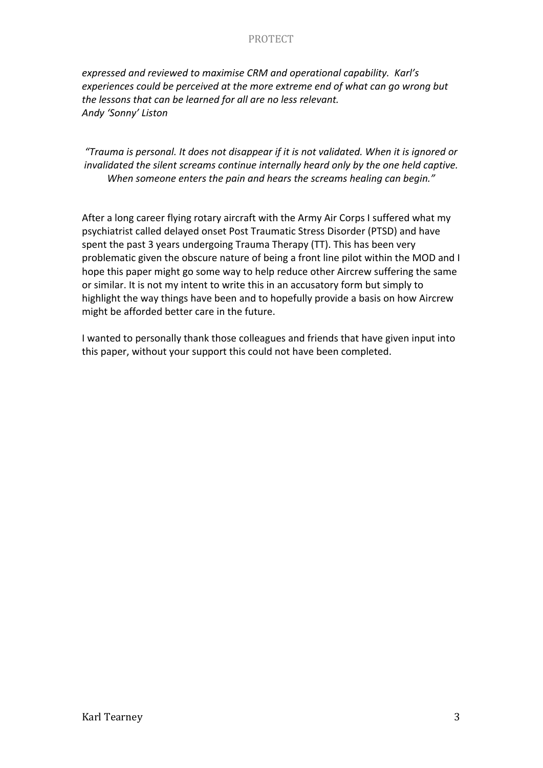expressed and reviewed to maximise CRM and operational capability. Karl's experiences could be perceived at the more extreme end of what can go wrong but *the lessons that can be learned for all are no less relevant. Andy 'Sonny' Liston*

# "Trauma is personal. It does not disappear if it is not validated. When it is ignored or *invalidated the silent screams continue internally heard only by the one held captive.* When someone enters the pain and hears the screams healing can begin."

After a long career flying rotary aircraft with the Army Air Corps I suffered what my psychiatrist called delayed onset Post Traumatic Stress Disorder (PTSD) and have spent the past 3 years undergoing Trauma Therapy (TT). This has been very problematic given the obscure nature of being a front line pilot within the MOD and I hope this paper might go some way to help reduce other Aircrew suffering the same or similar. It is not my intent to write this in an accusatory form but simply to highlight the way things have been and to hopefully provide a basis on how Aircrew might be afforded better care in the future.

I wanted to personally thank those colleagues and friends that have given input into this paper, without your support this could not have been completed.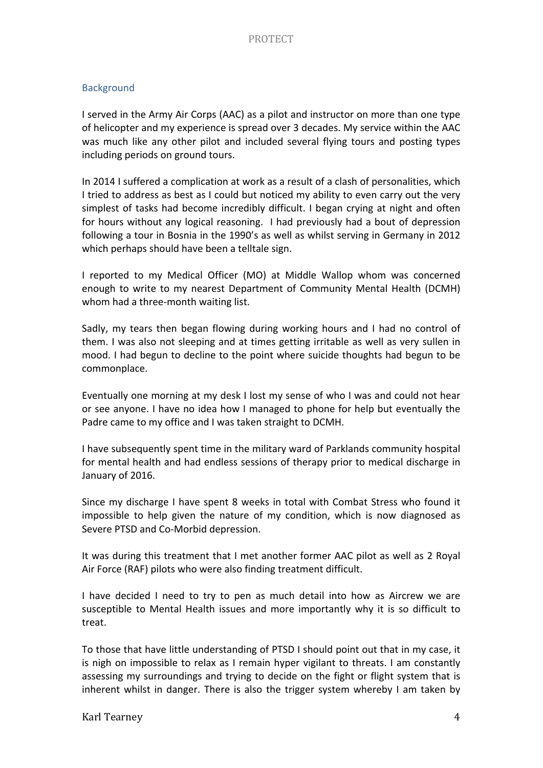#### **Background**

I served in the Army Air Corps (AAC) as a pilot and instructor on more than one type of helicopter and my experience is spread over 3 decades. My service within the AAC was much like any other pilot and included several flying tours and posting types including periods on ground tours.

In 2014 I suffered a complication at work as a result of a clash of personalities, which I tried to address as best as I could but noticed my ability to even carry out the very simplest of tasks had become incredibly difficult. I began crying at night and often for hours without any logical reasoning. I had previously had a bout of depression following a tour in Bosnia in the 1990's as well as whilst serving in Germany in 2012 which perhaps should have been a telltale sign.

I reported to my Medical Officer (MO) at Middle Wallop whom was concerned enough to write to my nearest Department of Community Mental Health (DCMH) whom had a three-month waiting list.

Sadly, my tears then began flowing during working hours and I had no control of them. I was also not sleeping and at times getting irritable as well as very sullen in mood. I had begun to decline to the point where suicide thoughts had begun to be commonplace. 

Eventually one morning at my desk I lost my sense of who I was and could not hear or see anyone. I have no idea how I managed to phone for help but eventually the Padre came to my office and I was taken straight to DCMH.

I have subsequently spent time in the military ward of Parklands community hospital for mental health and had endless sessions of therapy prior to medical discharge in January of 2016.

Since my discharge I have spent 8 weeks in total with Combat Stress who found it impossible to help given the nature of my condition, which is now diagnosed as Severe PTSD and Co-Morbid depression.

It was during this treatment that I met another former AAC pilot as well as 2 Royal Air Force (RAF) pilots who were also finding treatment difficult.

I have decided I need to try to pen as much detail into how as Aircrew we are susceptible to Mental Health issues and more importantly why it is so difficult to treat. 

To those that have little understanding of PTSD I should point out that in my case, it is nigh on impossible to relax as I remain hyper vigilant to threats. I am constantly assessing my surroundings and trying to decide on the fight or flight system that is inherent whilst in danger. There is also the trigger system whereby I am taken by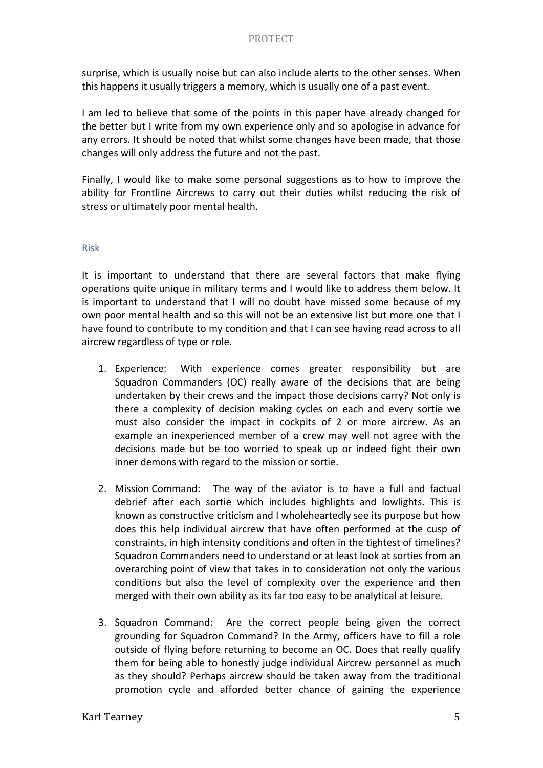surprise, which is usually noise but can also include alerts to the other senses. When this happens it usually triggers a memory, which is usually one of a past event.

I am led to believe that some of the points in this paper have already changed for the better but I write from my own experience only and so apologise in advance for any errors. It should be noted that whilst some changes have been made, that those changes will only address the future and not the past.

Finally, I would like to make some personal suggestions as to how to improve the ability for Frontline Aircrews to carry out their duties whilst reducing the risk of stress or ultimately poor mental health.

#### Risk

It is important to understand that there are several factors that make flying operations quite unique in military terms and I would like to address them below. It is important to understand that  $I$  will no doubt have missed some because of my own poor mental health and so this will not be an extensive list but more one that I have found to contribute to my condition and that I can see having read across to all aircrew regardless of type or role.

- 1. Experience: With experience comes greater responsibility but are Squadron Commanders (OC) really aware of the decisions that are being undertaken by their crews and the impact those decisions carry? Not only is there a complexity of decision making cycles on each and every sortie we must also consider the impact in cockpits of 2 or more aircrew. As an example an inexperienced member of a crew may well not agree with the decisions made but be too worried to speak up or indeed fight their own inner demons with regard to the mission or sortie.
- 2. Mission Command: The way of the aviator is to have a full and factual debrief after each sortie which includes highlights and lowlights. This is known as constructive criticism and I wholeheartedly see its purpose but how does this help individual aircrew that have often performed at the cusp of constraints, in high intensity conditions and often in the tightest of timelines? Squadron Commanders need to understand or at least look at sorties from an overarching point of view that takes in to consideration not only the various conditions but also the level of complexity over the experience and then merged with their own ability as its far too easy to be analytical at leisure.
- 3. Squadron Command: Are the correct people being given the correct grounding for Squadron Command? In the Army, officers have to fill a role outside of flying before returning to become an OC. Does that really qualify them for being able to honestly judge individual Aircrew personnel as much as they should? Perhaps aircrew should be taken away from the traditional promotion cycle and afforded better chance of gaining the experience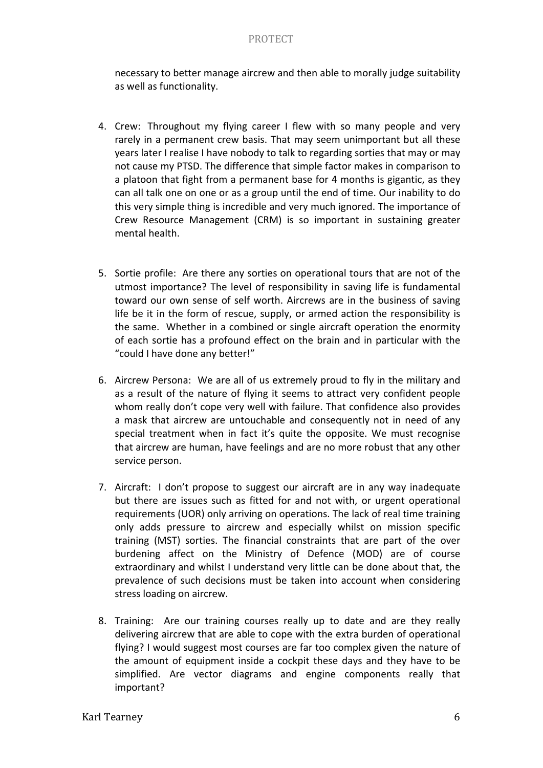necessary to better manage aircrew and then able to morally judge suitability as well as functionality.

- 4. Crew: Throughout my flying career I flew with so many people and very rarely in a permanent crew basis. That may seem unimportant but all these years later I realise I have nobody to talk to regarding sorties that may or may not cause my PTSD. The difference that simple factor makes in comparison to a platoon that fight from a permanent base for 4 months is gigantic, as they can all talk one on one or as a group until the end of time. Our inability to do this very simple thing is incredible and very much ignored. The importance of Crew Resource Management (CRM) is so important in sustaining greater mental health.
- 5. Sortie profile: Are there any sorties on operational tours that are not of the utmost importance? The level of responsibility in saving life is fundamental toward our own sense of self worth. Aircrews are in the business of saving life be it in the form of rescue, supply, or armed action the responsibility is the same. Whether in a combined or single aircraft operation the enormity of each sortie has a profound effect on the brain and in particular with the "could I have done any better!"
- 6. Aircrew Persona: We are all of us extremely proud to fly in the military and as a result of the nature of flying it seems to attract very confident people whom really don't cope very well with failure. That confidence also provides a mask that aircrew are untouchable and consequently not in need of any special treatment when in fact it's quite the opposite. We must recognise that aircrew are human, have feelings and are no more robust that any other service person.
- 7. Aircraft: I don't propose to suggest our aircraft are in any way inadequate but there are issues such as fitted for and not with, or urgent operational requirements (UOR) only arriving on operations. The lack of real time training only adds pressure to aircrew and especially whilst on mission specific training (MST) sorties. The financial constraints that are part of the over burdening affect on the Ministry of Defence (MOD) are of course extraordinary and whilst I understand very little can be done about that, the prevalence of such decisions must be taken into account when considering stress loading on aircrew.
- 8. Training: Are our training courses really up to date and are they really delivering aircrew that are able to cope with the extra burden of operational flying? I would suggest most courses are far too complex given the nature of the amount of equipment inside a cockpit these days and they have to be simplified. Are vector diagrams and engine components really that important?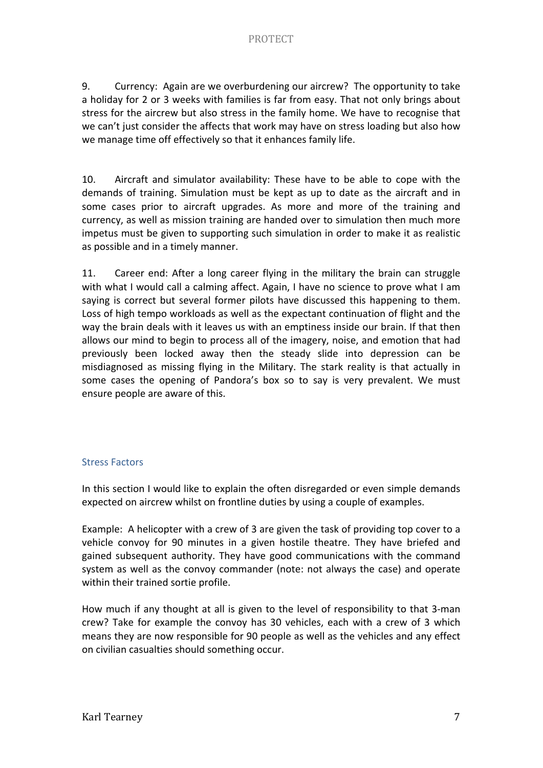9. Currency: Again are we overburdening our aircrew? The opportunity to take a holiday for 2 or 3 weeks with families is far from easy. That not only brings about stress for the aircrew but also stress in the family home. We have to recognise that we can't just consider the affects that work may have on stress loading but also how we manage time off effectively so that it enhances family life.

10. Aircraft and simulator availability: These have to be able to cope with the demands of training. Simulation must be kept as up to date as the aircraft and in some cases prior to aircraft upgrades. As more and more of the training and currency, as well as mission training are handed over to simulation then much more impetus must be given to supporting such simulation in order to make it as realistic as possible and in a timely manner.

11. Career end: After a long career flying in the military the brain can struggle with what I would call a calming affect. Again, I have no science to prove what I am saying is correct but several former pilots have discussed this happening to them. Loss of high tempo workloads as well as the expectant continuation of flight and the way the brain deals with it leaves us with an emptiness inside our brain. If that then allows our mind to begin to process all of the imagery, noise, and emotion that had previously been locked away then the steady slide into depression can be misdiagnosed as missing flying in the Military. The stark reality is that actually in some cases the opening of Pandora's box so to say is very prevalent. We must ensure people are aware of this.

# **Stress Factors**

In this section I would like to explain the often disregarded or even simple demands expected on aircrew whilst on frontline duties by using a couple of examples.

Example: A helicopter with a crew of 3 are given the task of providing top cover to a vehicle convoy for 90 minutes in a given hostile theatre. They have briefed and gained subsequent authority. They have good communications with the command system as well as the convoy commander (note: not always the case) and operate within their trained sortie profile.

How much if any thought at all is given to the level of responsibility to that 3-man crew? Take for example the convoy has 30 vehicles, each with a crew of 3 which means they are now responsible for 90 people as well as the vehicles and any effect on civilian casualties should something occur.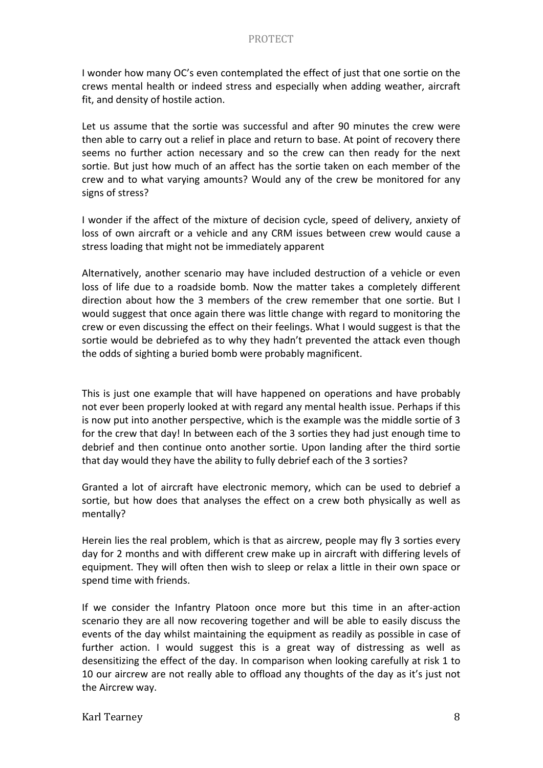I wonder how many OC's even contemplated the effect of just that one sortie on the crews mental health or indeed stress and especially when adding weather, aircraft fit, and density of hostile action.

Let us assume that the sortie was successful and after 90 minutes the crew were then able to carry out a relief in place and return to base. At point of recovery there seems no further action necessary and so the crew can then ready for the next sortie. But just how much of an affect has the sortie taken on each member of the crew and to what varying amounts? Would any of the crew be monitored for any signs of stress?

I wonder if the affect of the mixture of decision cycle, speed of delivery, anxiety of loss of own aircraft or a vehicle and any CRM issues between crew would cause a stress loading that might not be immediately apparent

Alternatively, another scenario may have included destruction of a vehicle or even loss of life due to a roadside bomb. Now the matter takes a completely different direction about how the 3 members of the crew remember that one sortie. But I would suggest that once again there was little change with regard to monitoring the crew or even discussing the effect on their feelings. What I would suggest is that the sortie would be debriefed as to why they hadn't prevented the attack even though the odds of sighting a buried bomb were probably magnificent.

This is just one example that will have happened on operations and have probably not ever been properly looked at with regard any mental health issue. Perhaps if this is now put into another perspective, which is the example was the middle sortie of 3 for the crew that day! In between each of the 3 sorties they had just enough time to debrief and then continue onto another sortie. Upon landing after the third sortie that day would they have the ability to fully debrief each of the 3 sorties?

Granted a lot of aircraft have electronic memory, which can be used to debrief a sortie, but how does that analyses the effect on a crew both physically as well as mentally? 

Herein lies the real problem, which is that as aircrew, people may fly 3 sorties every day for 2 months and with different crew make up in aircraft with differing levels of equipment. They will often then wish to sleep or relax a little in their own space or spend time with friends.

If we consider the Infantry Platoon once more but this time in an after-action scenario they are all now recovering together and will be able to easily discuss the events of the day whilst maintaining the equipment as readily as possible in case of further action. I would suggest this is a great way of distressing as well as desensitizing the effect of the day. In comparison when looking carefully at risk 1 to 10 our aircrew are not really able to offload any thoughts of the day as it's just not the Aircrew way.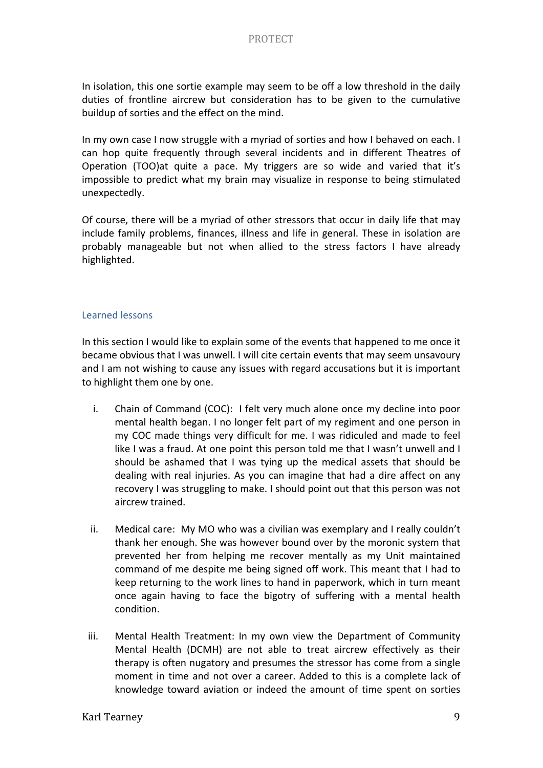In isolation, this one sortie example may seem to be off a low threshold in the daily duties of frontline aircrew but consideration has to be given to the cumulative buildup of sorties and the effect on the mind.

In my own case I now struggle with a myriad of sorties and how I behaved on each. I can hop quite frequently through several incidents and in different Theatres of Operation (TOO)at quite a pace. My triggers are so wide and varied that it's impossible to predict what my brain may visualize in response to being stimulated unexpectedly. 

Of course, there will be a myriad of other stressors that occur in daily life that may include family problems, finances, illness and life in general. These in isolation are probably manageable but not when allied to the stress factors I have already highlighted. 

#### Learned lessons

In this section I would like to explain some of the events that happened to me once it became obvious that I was unwell. I will cite certain events that may seem unsavoury and I am not wishing to cause any issues with regard accusations but it is important to highlight them one by one.

- i. Chain of Command (COC): I felt very much alone once my decline into poor mental health began. I no longer felt part of my regiment and one person in my COC made things very difficult for me. I was ridiculed and made to feel like I was a fraud. At one point this person told me that I wasn't unwell and I should be ashamed that I was tying up the medical assets that should be dealing with real injuries. As you can imagine that had a dire affect on any recovery I was struggling to make. I should point out that this person was not aircrew trained.
- ii. Medical care: My MO who was a civilian was exemplary and I really couldn't thank her enough. She was however bound over by the moronic system that prevented her from helping me recover mentally as my Unit maintained command of me despite me being signed off work. This meant that I had to keep returning to the work lines to hand in paperwork, which in turn meant once again having to face the bigotry of suffering with a mental health condition.
- iii. Mental Health Treatment: In my own view the Department of Community Mental Health (DCMH) are not able to treat aircrew effectively as their therapy is often nugatory and presumes the stressor has come from a single moment in time and not over a career. Added to this is a complete lack of knowledge toward aviation or indeed the amount of time spent on sorties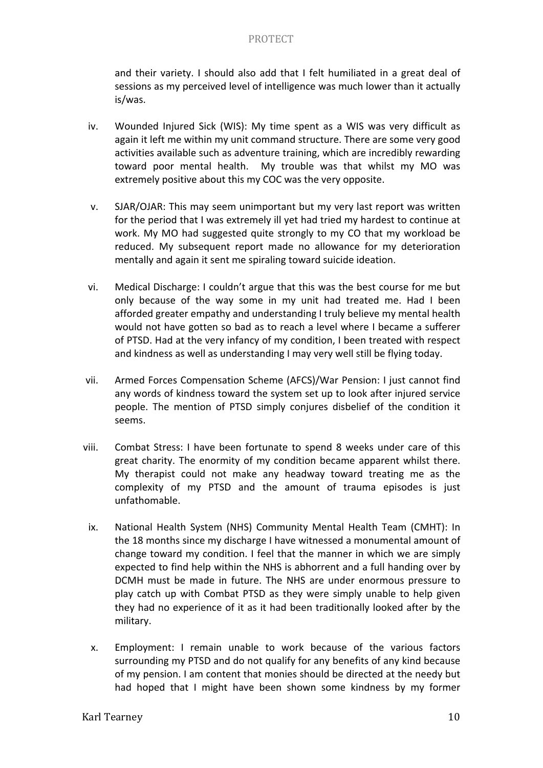and their variety. I should also add that I felt humiliated in a great deal of sessions as my perceived level of intelligence was much lower than it actually is/was. 

- iv. Wounded Injured Sick (WIS): My time spent as a WIS was very difficult as again it left me within my unit command structure. There are some very good activities available such as adventure training, which are incredibly rewarding toward poor mental health. My trouble was that whilst my MO was extremely positive about this my COC was the very opposite.
- v. SJAR/OJAR: This may seem unimportant but my very last report was written for the period that I was extremely ill yet had tried my hardest to continue at work. My MO had suggested quite strongly to my CO that my workload be reduced. My subsequent report made no allowance for my deterioration mentally and again it sent me spiraling toward suicide ideation.
- vi. Medical Discharge: I couldn't argue that this was the best course for me but only because of the way some in my unit had treated me. Had I been afforded greater empathy and understanding I truly believe my mental health would not have gotten so bad as to reach a level where I became a sufferer of PTSD. Had at the very infancy of my condition, I been treated with respect and kindness as well as understanding I may very well still be flying today.
- vii. Armed Forces Compensation Scheme (AFCS)/War Pension: I just cannot find any words of kindness toward the system set up to look after injured service people. The mention of PTSD simply conjures disbelief of the condition it seems.
- viii. Combat Stress: I have been fortunate to spend 8 weeks under care of this great charity. The enormity of my condition became apparent whilst there. My therapist could not make any headway toward treating me as the complexity of my PTSD and the amount of trauma episodes is just unfathomable.
	- ix. National Health System (NHS) Community Mental Health Team (CMHT): In the 18 months since my discharge I have witnessed a monumental amount of change toward my condition. I feel that the manner in which we are simply expected to find help within the NHS is abhorrent and a full handing over by DCMH must be made in future. The NHS are under enormous pressure to play catch up with Combat PTSD as they were simply unable to help given they had no experience of it as it had been traditionally looked after by the military.
	- x. Employment: I remain unable to work because of the various factors surrounding my PTSD and do not qualify for any benefits of any kind because of my pension. I am content that monies should be directed at the needy but had hoped that I might have been shown some kindness by my former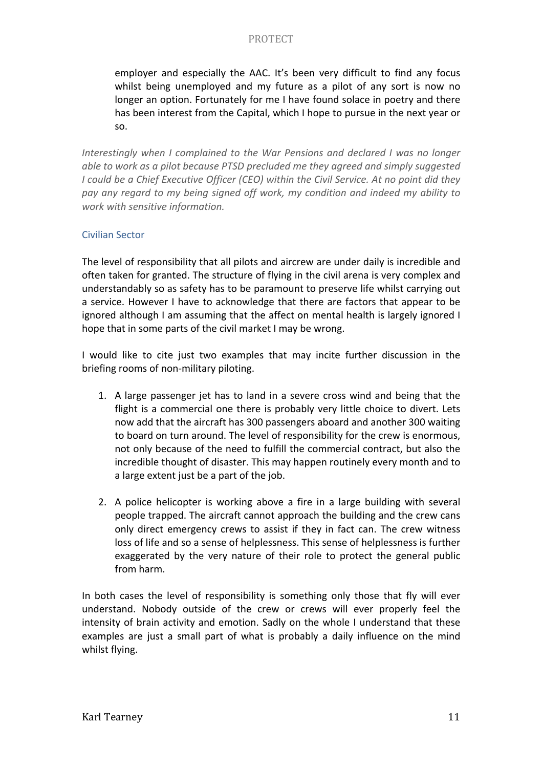employer and especially the AAC. It's been very difficult to find any focus whilst being unemployed and my future as a pilot of any sort is now no longer an option. Fortunately for me I have found solace in poetry and there has been interest from the Capital, which I hope to pursue in the next year or so. 

*Interestingly* when I complained to the War Pensions and declared I was no longer *able to work as a pilot because PTSD precluded me they agreed and simply suggested I* could be a Chief Executive Officer (CEO) within the Civil Service. At no point did they pay any regard to my being signed off work, my condition and indeed my ability to *work with sensitive information.*

# Civilian Sector

The level of responsibility that all pilots and aircrew are under daily is incredible and often taken for granted. The structure of flying in the civil arena is very complex and understandably so as safety has to be paramount to preserve life whilst carrying out a service. However I have to acknowledge that there are factors that appear to be ignored although I am assuming that the affect on mental health is largely ignored I hope that in some parts of the civil market I may be wrong.

I would like to cite just two examples that may incite further discussion in the briefing rooms of non-military piloting.

- 1. A large passenger jet has to land in a severe cross wind and being that the flight is a commercial one there is probably very little choice to divert. Lets now add that the aircraft has 300 passengers aboard and another 300 waiting to board on turn around. The level of responsibility for the crew is enormous, not only because of the need to fulfill the commercial contract, but also the incredible thought of disaster. This may happen routinely every month and to a large extent just be a part of the job.
- 2. A police helicopter is working above a fire in a large building with several people trapped. The aircraft cannot approach the building and the crew cans only direct emergency crews to assist if they in fact can. The crew witness loss of life and so a sense of helplessness. This sense of helplessness is further exaggerated by the very nature of their role to protect the general public from harm.

In both cases the level of responsibility is something only those that fly will ever understand. Nobody outside of the crew or crews will ever properly feel the intensity of brain activity and emotion. Sadly on the whole I understand that these examples are just a small part of what is probably a daily influence on the mind whilst flying.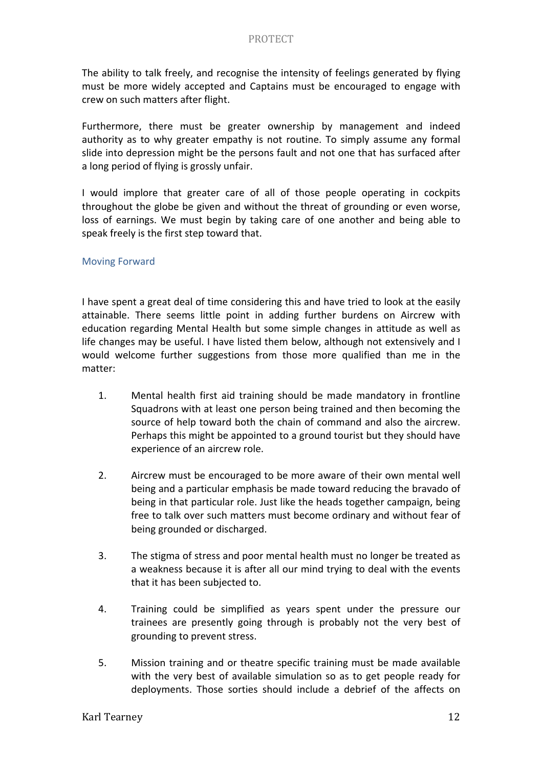The ability to talk freely, and recognise the intensity of feelings generated by flying must be more widely accepted and Captains must be encouraged to engage with crew on such matters after flight. 

Furthermore, there must be greater ownership by management and indeed authority as to why greater empathy is not routine. To simply assume any formal slide into depression might be the persons fault and not one that has surfaced after a long period of flying is grossly unfair.

I would implore that greater care of all of those people operating in cockpits throughout the globe be given and without the threat of grounding or even worse, loss of earnings. We must begin by taking care of one another and being able to speak freely is the first step toward that.

#### **Moving Forward**

I have spent a great deal of time considering this and have tried to look at the easily attainable. There seems little point in adding further burdens on Aircrew with education regarding Mental Health but some simple changes in attitude as well as life changes may be useful. I have listed them below, although not extensively and I would welcome further suggestions from those more qualified than me in the matter:

- 1. Mental health first aid training should be made mandatory in frontline Squadrons with at least one person being trained and then becoming the source of help toward both the chain of command and also the aircrew. Perhaps this might be appointed to a ground tourist but they should have experience of an aircrew role.
- 2. Aircrew must be encouraged to be more aware of their own mental well being and a particular emphasis be made toward reducing the bravado of being in that particular role. Just like the heads together campaign, being free to talk over such matters must become ordinary and without fear of being grounded or discharged.
- 3. The stigma of stress and poor mental health must no longer be treated as a weakness because it is after all our mind trying to deal with the events that it has been subjected to.
- 4. Training could be simplified as years spent under the pressure our trainees are presently going through is probably not the very best of grounding to prevent stress.
- 5. Mission training and or theatre specific training must be made available with the very best of available simulation so as to get people ready for deployments. Those sorties should include a debrief of the affects on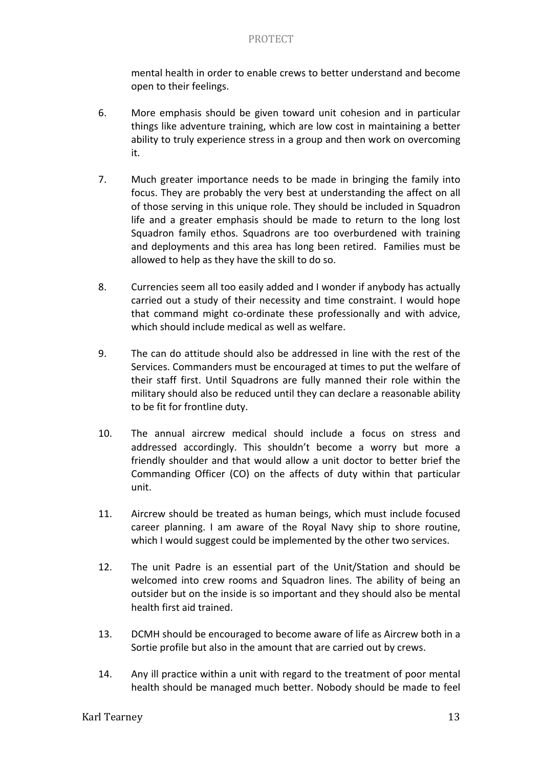mental health in order to enable crews to better understand and become open to their feelings.

- 6. More emphasis should be given toward unit cohesion and in particular things like adventure training, which are low cost in maintaining a better ability to truly experience stress in a group and then work on overcoming it.
- 7. Much greater importance needs to be made in bringing the family into focus. They are probably the very best at understanding the affect on all of those serving in this unique role. They should be included in Squadron life and a greater emphasis should be made to return to the long lost Squadron family ethos. Squadrons are too overburdened with training and deployments and this area has long been retired. Families must be allowed to help as they have the skill to do so.
- 8. Currencies seem all too easily added and I wonder if anybody has actually carried out a study of their necessity and time constraint. I would hope that command might co-ordinate these professionally and with advice, which should include medical as well as welfare.
- 9. The can do attitude should also be addressed in line with the rest of the Services. Commanders must be encouraged at times to put the welfare of their staff first. Until Squadrons are fully manned their role within the military should also be reduced until they can declare a reasonable ability to be fit for frontline duty.
- 10. The annual aircrew medical should include a focus on stress and addressed accordingly. This shouldn't become a worry but more a friendly shoulder and that would allow a unit doctor to better brief the Commanding Officer (CO) on the affects of duty within that particular unit.
- 11. Aircrew should be treated as human beings, which must include focused career planning. I am aware of the Royal Navy ship to shore routine, which I would suggest could be implemented by the other two services.
- 12. The unit Padre is an essential part of the Unit/Station and should be welcomed into crew rooms and Squadron lines. The ability of being an outsider but on the inside is so important and they should also be mental health first aid trained.
- 13. DCMH should be encouraged to become aware of life as Aircrew both in a Sortie profile but also in the amount that are carried out by crews.
- 14. Any ill practice within a unit with regard to the treatment of poor mental health should be managed much better. Nobody should be made to feel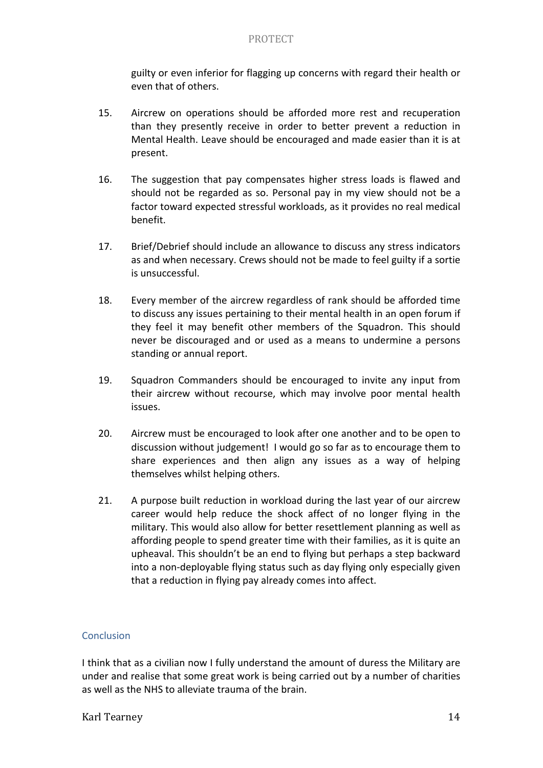guilty or even inferior for flagging up concerns with regard their health or even that of others.

- 15. Aircrew on operations should be afforded more rest and recuperation than they presently receive in order to better prevent a reduction in Mental Health. Leave should be encouraged and made easier than it is at present.
- 16. The suggestion that pay compensates higher stress loads is flawed and should not be regarded as so. Personal pay in my view should not be a factor toward expected stressful workloads, as it provides no real medical benefit.
- 17. Brief/Debrief should include an allowance to discuss any stress indicators as and when necessary. Crews should not be made to feel guilty if a sortie is unsuccessful.
- 18. Every member of the aircrew regardless of rank should be afforded time to discuss any issues pertaining to their mental health in an open forum if they feel it may benefit other members of the Squadron. This should never be discouraged and or used as a means to undermine a persons standing or annual report.
- 19. Squadron Commanders should be encouraged to invite any input from their aircrew without recourse, which may involve poor mental health issues.
- 20. Aircrew must be encouraged to look after one another and to be open to discussion without judgement! I would go so far as to encourage them to share experiences and then align any issues as a way of helping themselves whilst helping others.
- 21. A purpose built reduction in workload during the last year of our aircrew career would help reduce the shock affect of no longer flying in the military. This would also allow for better resettlement planning as well as affording people to spend greater time with their families, as it is quite an upheaval. This shouldn't be an end to flying but perhaps a step backward into a non-deployable flying status such as day flying only especially given that a reduction in flying pay already comes into affect.

# Conclusion

I think that as a civilian now I fully understand the amount of duress the Military are under and realise that some great work is being carried out by a number of charities as well as the NHS to alleviate trauma of the brain.